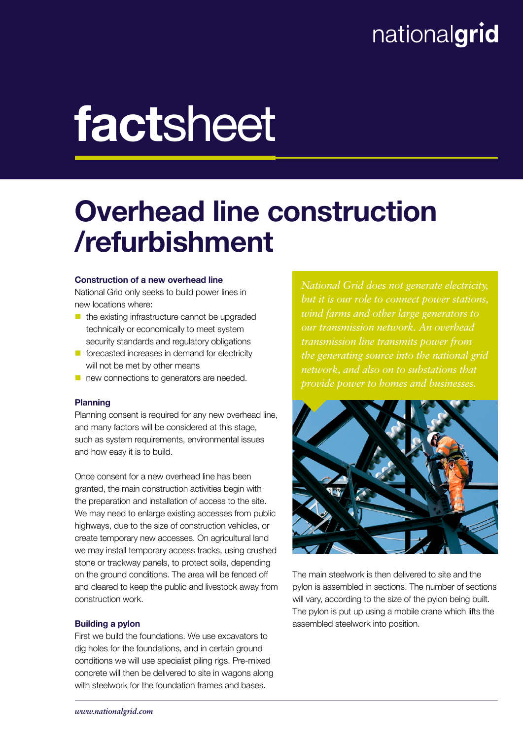# nationalgrid

# factsheet

# Overhead line construction /refurbishment

#### Construction of a new overhead line

National Grid only seeks to build power lines in new locations where:

- $\blacksquare$  the existing infrastructure cannot be upgraded technically or economically to meet system security standards and regulatory obligations
- $\blacksquare$  forecasted increases in demand for electricity will not be met by other means
- $\blacksquare$  new connections to generators are needed.

#### Planning

Planning consent is required for any new overhead line, and many factors will be considered at this stage, such as system requirements, environmental issues and how easy it is to build.

Once consent for a new overhead line has been granted, the main construction activities begin with the preparation and installation of access to the site. We may need to enlarge existing accesses from public highways, due to the size of construction vehicles, or create temporary new accesses. On agricultural land we may install temporary access tracks, using crushed stone or trackway panels, to protect soils, depending on the ground conditions. The area will be fenced off and cleared to keep the public and livestock away from construction work.

#### Building a pylon

First we build the foundations. We use excavators to dig holes for the foundations, and in certain ground conditions we will use specialist piling rigs. Pre-mixed concrete will then be delivered to site in wagons along with steelwork for the foundation frames and bases.

*National Grid does not generate electricity, wind farms and other large generators to our transmission network. An overhead transmission line transmits power from the generating source into the national grid network, and also on to substations that provide power to homes and businesses.*



The main steelwork is then delivered to site and the pylon is assembled in sections. The number of sections will vary, according to the size of the pylon being built. The pylon is put up using a mobile crane which lifts the assembled steelwork into position.